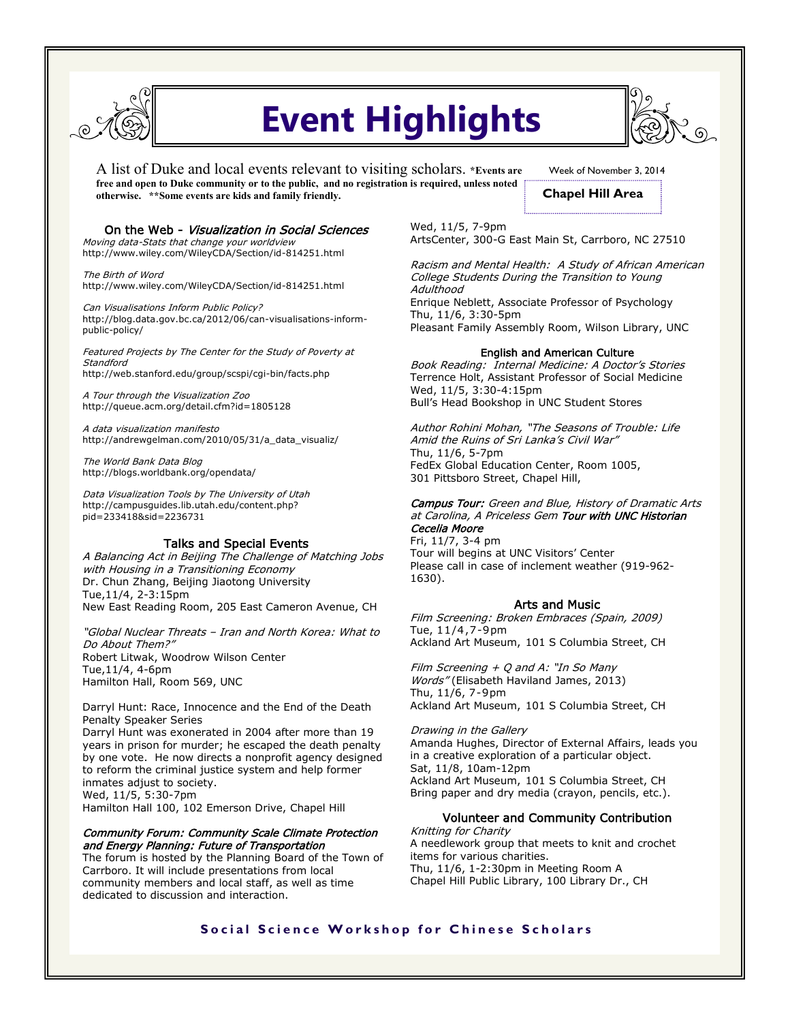

# **Event Highlights**

A list of Duke and local events relevant to visiting scholars. **\*Events are free and open to Duke community or to the public, and no registration is required, unless noted otherwise. \*\*Some events are kids and family friendly.** 

Week of November 3, 2014 **Chapel Hill Area**

## On the Web - Visualization in Social Sciences

Moving data-Stats that change your worldview http://www.wiley.com/WileyCDA/Section/id-814251.html

The Birth of Word http://www.wiley.com/WileyCDA/Section/id-814251.html

Can Visualisations Inform Public Policy? http://blog.data.gov.bc.ca/2012/06/can-visualisations-informpublic-policy/

Featured Projects by The Center for the Study of Poverty at **Standford** http://web.stanford.edu/group/scspi/cgi-bin/facts.php

A Tour through the Visualization Zoo http://queue.acm.org/detail.cfm?id=1805128

A data visualization manifesto http://andrewgelman.com/2010/05/31/a\_data\_visualiz/

The World Bank Data Blog http://blogs.worldbank.org/opendata/

Data Visualization Tools by The University of Utah http://campusguides.lib.utah.edu/content.php? pid=233418&sid=2236731

# Talks and Special Events

A Balancing Act in Beijing The Challenge of Matching Jobs with Housing in a Transitioning Economy Dr. Chun Zhang, Beijing Jiaotong University Tue,11/4, 2-3:15pm New East Reading Room, 205 East Cameron Avenue, CH

"Global Nuclear Threats – Iran and North Korea: What to Do About Them?" Robert Litwak, Woodrow Wilson Center Tue,11/4, 4-6pm Hamilton Hall, Room 569, UNC

Darryl Hunt: Race, Innocence and the End of the Death Penalty Speaker Series Darryl Hunt was exonerated in 2004 after more than 19 years in prison for murder; he escaped the death penalty by one vote. He now directs a nonprofit agency designed to reform the criminal justice system and help former inmates adjust to society. Wed, 11/5, 5:30-7pm

Hamilton Hall 100, 102 Emerson Drive, Chapel Hill

## Community Forum: Community Scale Climate Protection and Energy Planning: Future of Transportation

The forum is hosted by the Planning Board of the Town of Carrboro. It will include presentations from local community members and local staff, as well as time dedicated to discussion and interaction.

Wed, 11/5, 7-9pm ArtsCenter, 300-G East Main St, Carrboro, NC 27510

Racism and Mental Health: A Study of African American College Students During the Transition to Young **Adulthood** Enrique Neblett, Associate Professor of Psychology Thu, 11/6, 3:30-5pm Pleasant Family Assembly Room, Wilson Library, UNC

### English and American Culture

Book Reading: Internal Medicine: A Doctor's Stories Terrence Holt, Assistant Professor of Social Medicine Wed, 11/5, 3:30-4:15pm Bull's Head Bookshop in UNC Student Stores

Author Rohini Mohan, "The Seasons of Trouble: Life Amid the Ruins of Sri Lanka's Civil War" Thu, 11/6, 5-7pm FedEx Global Education Center, Room 1005, 301 Pittsboro Street, Chapel Hill,

Campus Tour: Green and Blue, History of Dramatic Arts at Carolina, A Priceless Gem Tour with UNC Historian Cecelia Moore

Fri, 11/7, 3-4 pm Tour will begins at UNC Visitors' Center Please call in case of inclement weather (919-962- 1630).

# Arts and Music

Film Screening: Broken Embraces (Spain, 2009) Tue, 11/4 ,7-9pm Ackland Art Museum, 101 S Columbia Street, CH

Film Screening  $+$  Q and A: "In So Many Words" (Elisabeth Haviland James, 2013) Thu, 11/6, 7-9pm Ackland Art Museum, 101 S Columbia Street, CH

Drawing in the Gallery Amanda Hughes, Director of External Affairs, leads you in a creative exploration of a particular object. Sat, 11/8, 10am-12pm Ackland Art Museum, 101 S Columbia Street, CH Bring paper and dry media (crayon, pencils, etc.).

# Volunteer and Community Contribution

Knitting for Charity A needlework group that meets to knit and crochet items for various charities. Thu, 11/6, 1-2:30pm in Meeting Room A Chapel Hill Public Library, 100 Library Dr., CH

# **Social Science Workshop for Chinese Scholars**